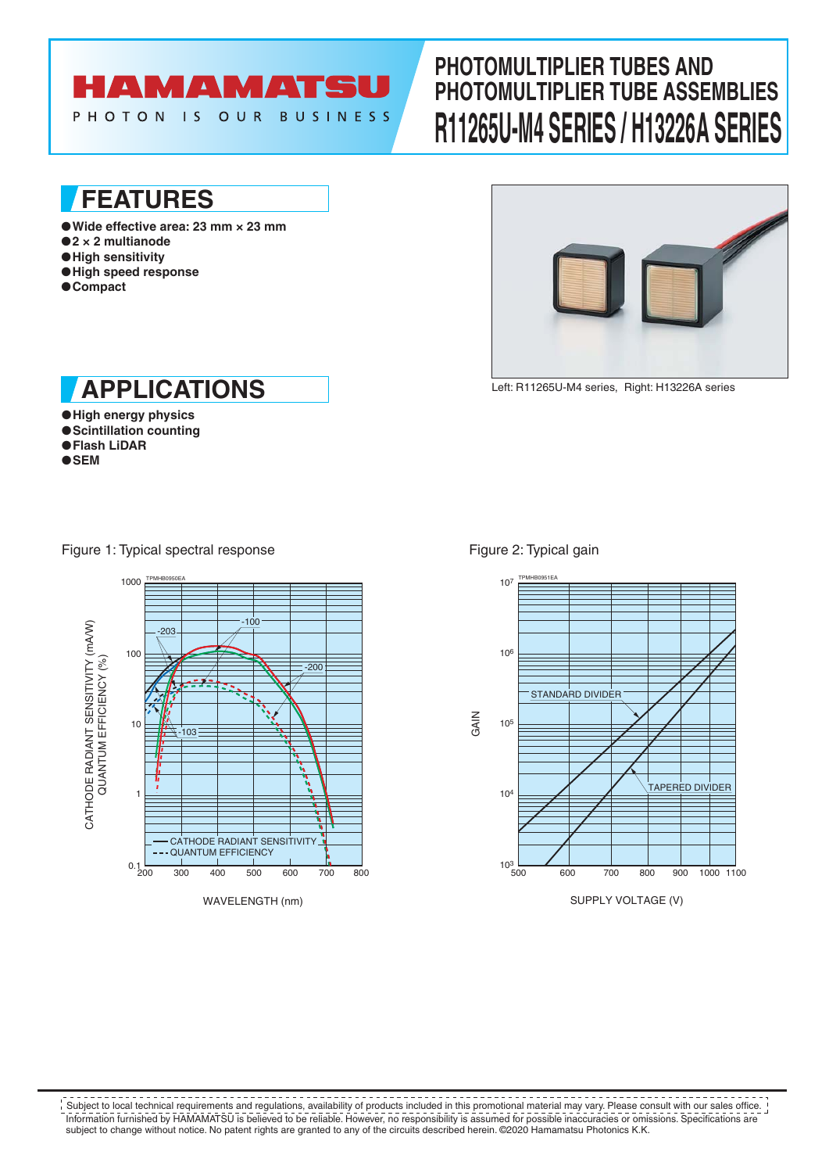# **AMAMATSU**

PHOTON IS OUR **BUSINESS** 

## **PHOTOMULTIPLIER TUBES AND PHOTOMULTIPLIER TUBE ASSEMBLIES R11265U-M4 SERIES / H13226A SERIES**

**FEATURES**

- ●**Wide effective area: 23 mm × 23 mm**
- ●**2 × 2 multianode**
- ●**High sensitivity**
- ●**High speed response**
- ●**Compact**



●**High energy physics**

- ●**Scintillation counting**
- ●**Flash LiDAR**
- ●**SEM**

Figure 1: Typical spectral response



WAVELENGTH (nm)



Left: R11265U-M4 series, Right: H13226A series

Figure 2: Typical gain



SUPPLY VOLTAGE (V)

Information furnished by HAMAMATSU is believed to be reliable. However, no responsibility is assumed for possible inaccuracies or omissions. Specifications are subject to change without notice. No patent rights are granted to any of the circuits described herein. ©2020 Hamamatsu Photonics K.K. **Subject to local technical requirements and regulations, availability of products included in this promotional material may vary. Please consult with our sales office.**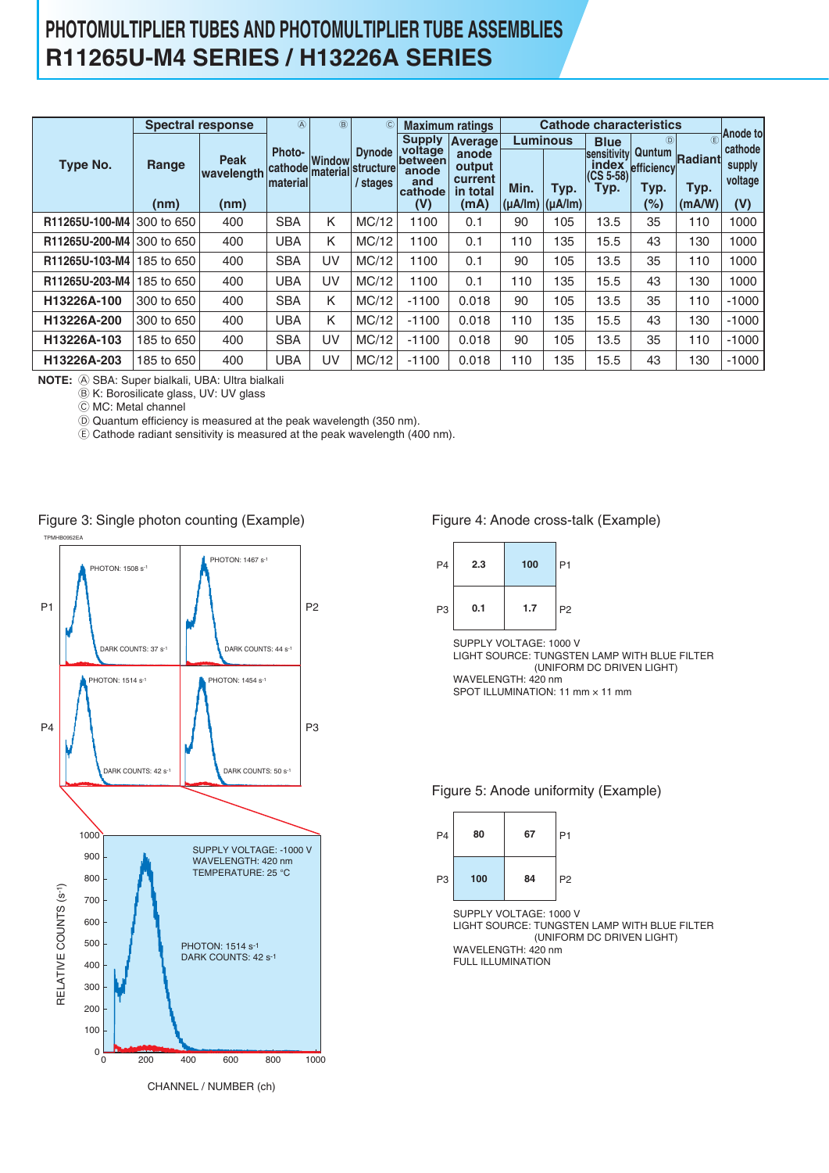## **PHOTOMULTIPLIER TUBES AND PHOTOMULTIPLIER TUBE ASSEMBLIES R11265U-M4 SERIES / H13226A SERIES**

|                | <b>Spectral response</b> | $\circledA$ | $\circledR$                                    | $^{\circ}$ |                                        | <b>Maximum ratings</b>    |                  |      | <b>Cathode characteristics</b>          |                                          |                                    |                |                      |
|----------------|--------------------------|-------------|------------------------------------------------|------------|----------------------------------------|---------------------------|------------------|------|-----------------------------------------|------------------------------------------|------------------------------------|----------------|----------------------|
|                |                          |             | Photo-<br>cathode material<br><b>Imaterial</b> | Window     | <b>Dynode</b><br>structure<br>/ stages | <b>Supply</b>             | <b>Average</b>   |      | <b>Luminous</b>                         | <b>Blue</b>                              | (D)<br>Quntum<br><b>efficiency</b> | (E)<br>Radiant | Anode tol<br>cathode |
| Type No.       | Range                    | <b>Peak</b> |                                                |            |                                        | voltage<br><b>between</b> | anode<br>output  |      |                                         | <b>Sensitivity</b><br>index <sup>-</sup> |                                    |                | supply               |
|                |                          | wavelength  |                                                |            |                                        | anode<br>and              | current          |      |                                         | $(CS 5-58)$                              |                                    |                | voltage              |
|                | (nm)                     | (nm)        |                                                |            |                                        | cathode<br>(V)            | in total<br>(mA) | Min. | Typ.<br>$(\mu A / Im)$ ( $\mu A / Im$ ) | Typ.                                     | Typ.<br>$(\%)$                     | Typ.<br>(mA/W) | (V)                  |
| R11265U-100-M4 | 300 to 650               | 400         | <b>SBA</b>                                     | Κ          | MC/12                                  | 1100                      | 0.1              | 90   | 105                                     | 13.5                                     | 35                                 | 110            | 1000                 |
| R11265U-200-M4 | 300 to 650               | 400         | <b>UBA</b>                                     | K          | MC/12                                  | 1100                      | 0.1              | 110  | 135                                     | 15.5                                     | 43                                 | 130            | 1000                 |
| R11265U-103-M4 | 185 to 650               | 400         | <b>SBA</b>                                     | UV         | MC/12                                  | 1100                      | 0.1              | 90   | 105                                     | 13.5                                     | 35                                 | 110            | 1000                 |
| R11265U-203-M4 | 185 to 650               | 400         | <b>UBA</b>                                     | UV         | MC/12                                  | 1100                      | 0.1              | 110  | 135                                     | 15.5                                     | 43                                 | 130            | 1000                 |
| H13226A-100    | 300 to 650               | 400         | <b>SBA</b>                                     | K          | MC/12                                  | $-1100$                   | 0.018            | 90   | 105                                     | 13.5                                     | 35                                 | 110            | $-1000$              |
| H13226A-200    | 300 to 650               | 400         | <b>UBA</b>                                     | K          | MC/12                                  | $-1100$                   | 0.018            | 110  | 135                                     | 15.5                                     | 43                                 | 130            | $-1000$              |
| H13226A-103    | 185 to 650               | 400         | <b>SBA</b>                                     | UV         | MC/12                                  | $-1100$                   | 0.018            | 90   | 105                                     | 13.5                                     | 35                                 | 110            | $-1000$              |
| H13226A-203    | 185 to 650               | 400         | <b>UBA</b>                                     | UV         | MC/12                                  | $-1100$                   | 0.018            | 110  | 135                                     | 15.5                                     | 43                                 | 130            | $-1000$              |

**NOTE:** A SBA: Super bialkali, UBA: Ultra bialkali

B K: Borosilicate glass, UV: UV glass

C MC: Metal channel

TPMHB0952EA

D Quantum efficiency is measured at the peak wavelength (350 nm).

E Cathode radiant sensitivity is measured at the peak wavelength (400 nm).

### Figure 3: Single photon counting (Example) Figure 4: Anode cross-talk (Example)





SUPPLY VOLTAGE: 1000 V LIGHT SOURCE: TUNGSTEN LAMP WITH BLUE FILTER (UNIFORM DC DRIVEN LIGHT) WAVELENGTH: 420 nm SPOT ILLUMINATION: 11 mm × 11 mm

#### Figure 5: Anode uniformity (Example)



CHANNEL / NUMBER (ch)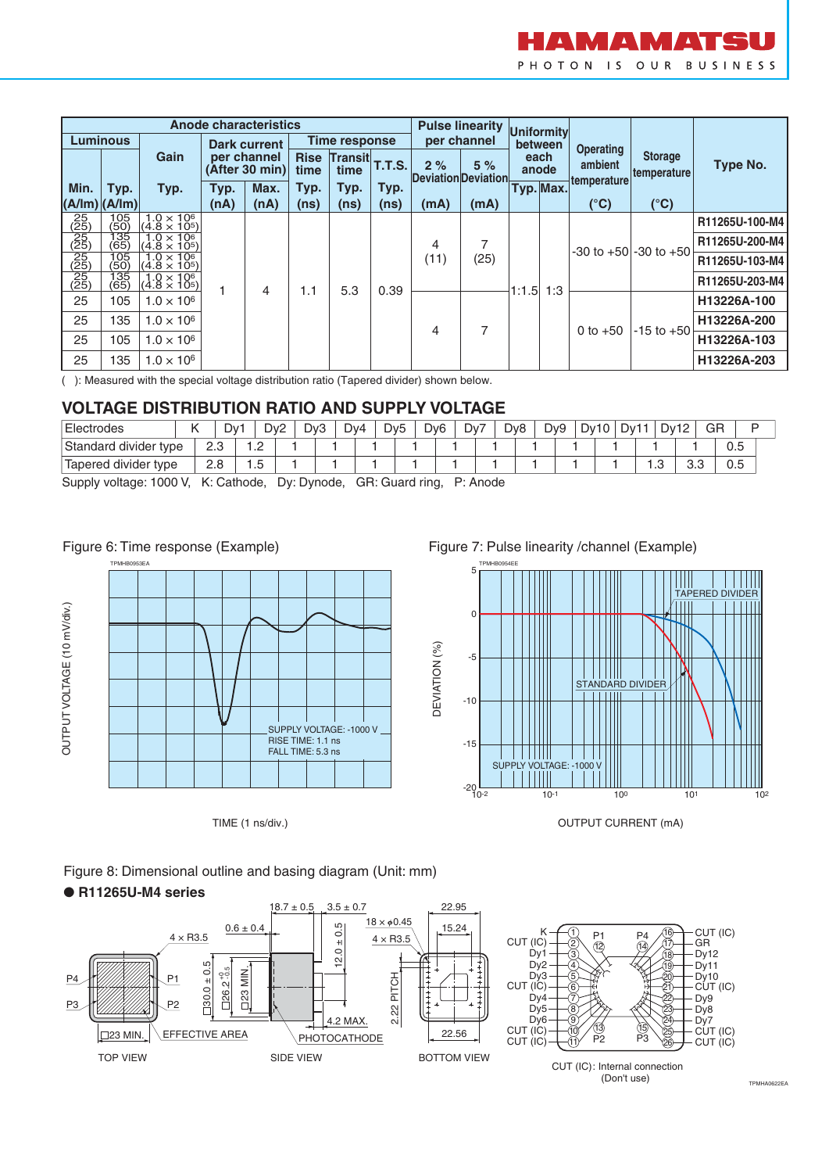

| <b>Anode characteristics</b>                                         |                    |                                             |                               |      |                                        |      |               |                           | <b>Pulse linearity</b> |               |                  |                        |                               |                |   |             |  |  |  |  |             |                |                |
|----------------------------------------------------------------------|--------------------|---------------------------------------------|-------------------------------|------|----------------------------------------|------|---------------|---------------------------|------------------------|---------------|------------------|------------------------|-------------------------------|----------------|---|-------------|--|--|--|--|-------------|----------------|----------------|
| <b>Luminous</b>                                                      |                    |                                             | <b>Dark current</b>           |      | Time response                          |      |               | per channel               | Uniformity<br>between  |               | <b>Operating</b> |                        |                               |                |   |             |  |  |  |  |             |                |                |
|                                                                      |                    | Gain                                        | per channel<br>(After 30 min) |      | <b>Rise</b><br>Transit<br>time<br>time |      | <b>T.T.S.</b> | 2%<br>Deviation Deviation | 5%                     | each<br>anode |                  | ambient<br>temperature | <b>Storage</b><br>temperature | Type No.       |   |             |  |  |  |  |             |                |                |
| Min.                                                                 | Typ.               | Typ.                                        | Max.<br>Typ.                  |      | Typ.                                   | Typ. | Typ.          |                           |                        | Typ. Max.     |                  |                        |                               |                |   |             |  |  |  |  |             |                |                |
| (A/Im) (A/Im)                                                        |                    |                                             | (nA)                          | (nA) | (ns)                                   | (ns) | (ns)          | (mA)                      | (mA)                   |               |                  | $(^{\circ}C)$          | $(^{\circ}C)$                 |                |   |             |  |  |  |  |             |                |                |
| $\frac{25}{(25)}$                                                    | 105<br>(50)        | $\frac{1.0 \times 10^6}{(4.8 \times 10^5)}$ |                               |      |                                        |      |               |                           |                        |               |                  |                        |                               |                |   |             |  |  |  |  |             |                | R11265U-100-M4 |
|                                                                      | $\frac{135}{65}$   | $\frac{1.0 \times 10^6}{(4.8 \times 10^5)}$ |                               |      |                                        |      |               | 4                         | 7<br>(25)              |               |                  |                        | $-30$ to $+50$ $-30$ to $+50$ | R11265U-200-M4 |   |             |  |  |  |  |             |                |                |
|                                                                      | $\frac{105}{(50)}$ | $\frac{1.0 \times 10^6}{(4.8 \times 10^5)}$ |                               |      |                                        |      |               | (11)                      |                        |               |                  |                        |                               | R11265U-103-M4 |   |             |  |  |  |  |             |                |                |
| $\frac{\frac{1}{25}}{\frac{25}{25}}$ $\frac{25}{25}$ $\frac{25}{25}$ | 135<br>(65)        | $\frac{1.0 \times 10^6}{(4.8 \times 10^5)}$ |                               | 4    |                                        |      |               |                           |                        |               |                  |                        |                               | R11265U-203-M4 |   |             |  |  |  |  |             |                |                |
| 25                                                                   | 105                | $1.0 \times 10^{6}$                         |                               |      |                                        |      | 1.1           | 5.3                       | 0.39                   |               |                  | 1:1.5                  | 1:3                           |                |   | H13226A-100 |  |  |  |  |             |                |                |
| 25                                                                   | 135                | $1.0 \times 10^{6}$                         |                               |      |                                        |      |               |                           |                        |               |                  |                        |                               |                | 4 | 7           |  |  |  |  | H13226A-200 |                |                |
| 25                                                                   | 105                | $1.0 \times 10^{6}$                         |                               |      |                                        |      |               |                           |                        |               |                  |                        |                               |                |   |             |  |  |  |  | 0 to $+50$  | $-15$ to $+50$ | H13226A-103    |
| 25                                                                   | 135                | $1.0 \times 10^{6}$                         |                               |      |                                        |      |               |                           |                        |               |                  |                        |                               | H13226A-203    |   |             |  |  |  |  |             |                |                |

( ): Measured with the special voltage distribution ratio (Tapered divider) shown below.

### **VOLTAGE DISTRIBUTION RATIO AND SUPPLY VOLTAGE**

| Electrodes                                    |  |            | Dv1 | Dy <sub>2</sub>   | Dv3 | Dv4 | Dv5 | D <sub>v</sub> 6 | Dy7 | Dv8 | Dv9 | Dy <sub>10</sub> | Dv1 | Dv12 |          | GR  |  |
|-----------------------------------------------|--|------------|-----|-------------------|-----|-----|-----|------------------|-----|-----|-----|------------------|-----|------|----------|-----|--|
| Standard divider '<br>tvpe                    |  | ററ<br>د.ء  |     | $\sqrt{2}$<br>$-$ |     |     |     |                  |     |     |     |                  |     |      |          | 0.5 |  |
| Tapered divider type                          |  | റ ഠ<br>۷.O | ں ، | -<br>-            |     |     |     |                  |     |     |     |                  |     | . ت. | ົ<br>ບ.ບ | 0.5 |  |
| 0 U U JAAA U U QUU U QUU QUU QUQUU U QUA U QU |  |            |     |                   |     |     |     |                  |     |     |     |                  |     |      |          |     |  |

Supply voltage: 1000 V, K: Cathode, Dy: Dynode, GR: Guard ring, P: Anode



TIME (1 ns/div.)

Figure 7: Pulse linearity /channel (Example)



OUTPUT CURRENT (mA)

TPMHA0622EA

Figure 8: Dimensional outline and basing diagram (Unit: mm)

### ● **R11265U-M4 series**